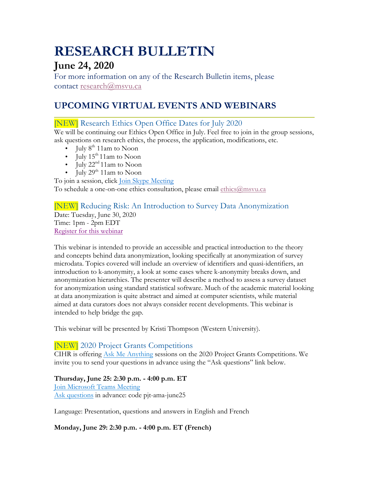# **RESEARCH BULLETIN**

# **June 24, 2020**

For more information on any of the Research Bulletin items, please contact research@msvu.ca

# **UPCOMING VIRTUAL EVENTS AND WEBINARS**

### [NEW] Research Ethics Open Office Dates for July 2020

We will be continuing our Ethics Open Office in July. Feel free to join in the group sessions, ask questions on research ethics, the process, the application, modifications, etc.

- July  $8^{th}$  11am to Noon
- July  $15^{th}$  11am to Noon
- July  $22^{nd} 11$ am to Noon
- July  $29<sup>th</sup> 11$ am to Noon

To join a session, click Join Skype Meeting

To schedule a one-on-one ethics consultation, please email ethics@msvu.ca

#### [NEW] Reducing Risk: An Introduction to Survey Data Anonymization Date: Tuesday, June 30, 2020 Time: 1pm - 2pm EDT Register for this webinar

This webinar is intended to provide an accessible and practical introduction to the theory and concepts behind data anonymization, looking specifically at anonymization of survey microdata. Topics covered will include an overview of identifiers and quasi-identifiers, an introduction to k-anonymity, a look at some cases where k-anonymity breaks down, and anonymization hierarchies. The presenter will describe a method to assess a survey dataset for anonymization using standard statistical software. Much of the academic material looking at data anonymization is quite abstract and aimed at computer scientists, while material aimed at data curators does not always consider recent developments. This webinar is intended to help bridge the gap.

This webinar will be presented by Kristi Thompson (Western University).

### [NEW] 2020 Project Grants Competitions

CIHR is offering Ask Me Anything sessions on the 2020 Project Grants Competitions. We invite you to send your questions in advance using the "Ask questions" link below.

#### **Thursday, June 25: 2:30 p.m. - 4:00 p.m. ET** Join Microsoft Teams Meeting

Ask questions in advance: code pjt-ama-june25

Language: Presentation, questions and answers in English and French

**Monday, June 29: 2:30 p.m. - 4:00 p.m. ET (French)**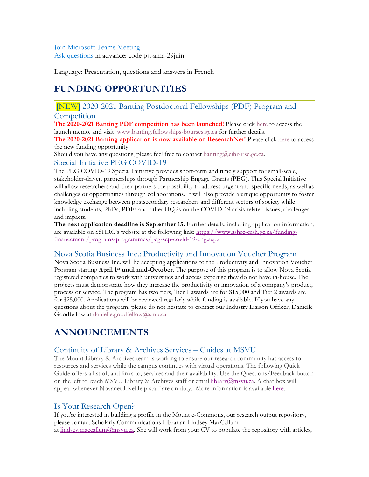#### Join Microsoft Teams Meeting Ask questions in advance: code pjt-ama-29juin

Language: Presentation, questions and answers in French

# **FUNDING OPPORTUNITIES**

# [NEW] 2020-2021 Banting Postdoctoral Fellowships (PDF) Program and

#### **Competition**

**The 2020-2021 Banting PDF competition has been launched!** Please click here to access the launch memo, and visit www.banting.fellowships-bourses.gc.ca for further details.

**The 2020-2021 Banting application is now available on ResearchNet!** Please click here to access the new funding opportunity.

Should you have any questions, please feel free to contact banting@cihr-irsc.gc.ca. Special Initiative PEG COVID-19

The PEG COVID-19 Special Initiative provides short-term and timely support for small-scale, stakeholder-driven partnerships through Partnership Engage Grants (PEG). This Special Initiative will allow researchers and their partners the possibility to address urgent and specific needs, as well as challenges or opportunities through collaborations. It will also provide a unique opportunity to foster knowledge exchange between postsecondary researchers and different sectors of society while including students, PhDs, PDFs and other HQPs on the COVID-19 crisis related issues, challenges and impacts.

**The next application deadline is September 15.** Further details, including application information, are available on SSHRC's website at the following link: https://www.sshrc-crsh.gc.ca/fundingfinancement/programs-programmes/peg-sep-covid-19-eng.aspx

#### Nova Scotia Business Inc.: Productivity and Innovation Voucher Program

Nova Scotia Business Inc. will be accepting applications to the Productivity and Innovation Voucher Program starting **April 1st until mid-October**. The purpose of this program is to allow Nova Scotia registered companies to work with universities and access expertise they do not have in-house. The projects must demonstrate how they increase the productivity or innovation of a company's product, process or service. The program has two tiers, Tier 1 awards are for \$15,000 and Tier 2 awards are for \$25,000. Applications will be reviewed regularly while funding is available. If you have any questions about the program, please do not hesitate to contact our Industry Liaison Officer, Danielle Goodfellow at danielle.goodfellow@smu.ca

# **ANNOUNCEMENTS**

### Continuity of Library & Archives Services – Guides at MSVU

The Mount Library & Archives team is working to ensure our research community has access to resources and services while the campus continues with virtual operations. The following Quick Guide offers a list of, and links to, services and their availability. Use the Questions/Feedback button on the left to reach MSVU Library & Archives staff or email library@msvu.ca. A chat box will appear whenever Novanet LiveHelp staff are on duty. More information is available here.

### Is Your Research Open?

If you're interested in building a profile in the Mount e-Commons, our research output repository, please contact Scholarly Communications Librarian Lindsey MacCallum at lindsey.maccallum@msvu.ca. She will work from your CV to populate the repository with articles,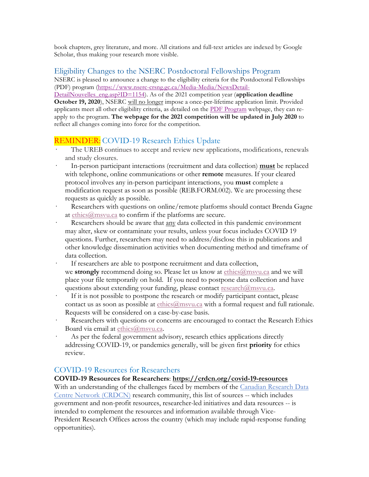book chapters, grey literature, and more. All citations and full-text articles are indexed by Google Scholar, thus making your research more visible.

### Eligibility Changes to the NSERC Postdoctoral Fellowships Program

NSERC is pleased to announce a change to the eligibility criteria for the Postdoctoral Fellowships (PDF) program (https://www.nserc-crsng.gc.ca/Media-Media/NewsDetail-

DetailNouvelles\_eng.asp?ID=1154). As of the 2021 competition year (**application deadline October 19, 2020**), NSERC will no longer impose a once-per-lifetime application limit. Provided applicants meet all other eligibility criteria, as detailed on the PDF Program webpage, they can reapply to the program. **The webpage for the 2021 competition will be updated in July 2020** to reflect all changes coming into force for the competition.

## REMINDER: COVID-19 Research Ethics Update

- · The UREB continues to accept and review new applications, modifications, renewals and study closures.
- · In-person participant interactions (recruitment and data collection) **must** be replaced with telephone, online communications or other **remote** measures. If your cleared protocol involves any in-person participant interactions, you **must** complete a modification request as soon as possible (REB.FORM.002). We are processing these requests as quickly as possible.
- Researchers with questions on online/remote platforms should contact Brenda Gagne at ethics@msvu.ca to confirm if the platforms are secure.
- Researchers should be aware that any data collected in this pandemic environment may alter, skew or contaminate your results, unless your focus includes COVID 19 questions. Further, researchers may need to address/disclose this in publications and other knowledge dissemination activities when documenting method and timeframe of data collection.
- If researchers are able to postpone recruitment and data collection, we **strongly** recommend doing so. Please let us know at ethics@msvu.ca and we will place your file temporarily on hold. If you need to postpone data collection and have questions about extending your funding, please contact research@msvu.ca.
- If it is not possible to postpone the research or modify participant contact, please contact us as soon as possible at ethics@msvu.ca with a formal request and full rationale. Requests will be considered on a case-by-case basis.
- Researchers with questions or concerns are encouraged to contact the Research Ethics Board via email at ethics@msvu.ca.
- As per the federal government advisory, research ethics applications directly addressing COVID-19, or pandemics generally, will be given first **priority** for ethics review.

#### COVID-19 Resources for Researchers

#### **COVID-19 Resources for Researchers**: **https://crdcn.org/covid-19-resources**

With an understanding of the challenges faced by members of the Canadian Research Data Centre Network (CRDCN) research community, this list of sources -- which includes government and non-profit resources, researcher-led initiatives and data resources -- is intended to complement the resources and information available through Vice-President Research Offices across the country (which may include rapid-response funding opportunities).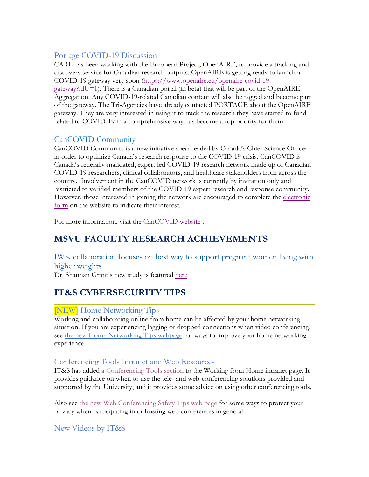### Portage COVID-19 Discussion

CARL has been working with the European Project, OpenAIRE, to provide a tracking and discovery service for Canadian research outputs. OpenAIRE is getting ready to launch a COVID-19 gateway very soon (https://www.openaire.eu/openaire-covid-19  $gateway$ ?idU=1). There is a Canadian portal (in beta) that will be part of the OpenAIRE Aggregation. Any COVID-19-related Canadian content will also be tagged and become part of the gateway. The Tri-Agencies have already contacted PORTAGE about the OpenAIRE gateway. They are very interested in using it to track the research they have started to fund related to COVID-19 in a comprehensive way has become a top priority for them.

### CanCOVID Community

CanCOVID Community is a new initiative spearheaded by Canada's Chief Science Officer in order to optimize Canada's research response to the COVID-19 crisis. CanCOVID is Canada's federally-mandated, expert led COVID-19 research network made up of Canadian COVID-19 researchers, clinical collaborators, and healthcare stakeholders from across the country. Involvement in the CanCOVID network is currently by invitation only and restricted to verified members of the COVID-19 expert research and response community. However, those interested in joining the network are encouraged to complete the electronic form on the website to indicate their interest.

For more information, visit the CanCOVID website .

# **MSVU FACULTY RESEARCH ACHIEVEMENTS**

IWK collaboration focuses on best way to support pregnant women living with higher weights

Dr. Shannan Grant's new study is featured here.

# **IT&S CYBERSECURITY TIPS**

### [NEW] Home Networking Tips

Working and collaborating online from home can be affected by your home networking situation. If you are experiencing lagging or dropped connections when video conferencing, see the new Home Networking Tips webpage for ways to improve your home networking experience.

#### Conferencing Tools Intranet and Web Resources

IT&S has added a Conferencing Tools section to the Working from Home intranet page. It provides guidance on when to use the tele- and web-conferencing solutions provided and supported by the University, and it provides some advice on using other conferencing tools.

Also see the new Web Conferencing Safety Tips web page for some ways to protect your privacy when participating in or hosting web conferences in general.

New Videos by IT&S